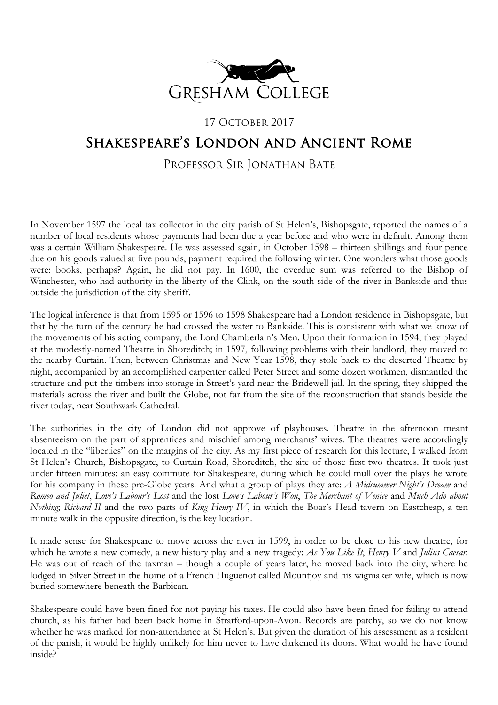

# 17 OCTOBER 2017 Shakespeare's London and Ancient Rome

## PROFESSOR SIR JONATHAN BATE

In November 1597 the local tax collector in the city parish of St Helen's, Bishopsgate, reported the names of a number of local residents whose payments had been due a year before and who were in default. Among them was a certain William Shakespeare. He was assessed again, in October 1598 – thirteen shillings and four pence due on his goods valued at five pounds, payment required the following winter. One wonders what those goods were: books, perhaps? Again, he did not pay. In 1600, the overdue sum was referred to the Bishop of Winchester, who had authority in the liberty of the Clink, on the south side of the river in Bankside and thus outside the jurisdiction of the city sheriff.

The logical inference is that from 1595 or 1596 to 1598 Shakespeare had a London residence in Bishopsgate, but that by the turn of the century he had crossed the water to Bankside. This is consistent with what we know of the movements of his acting company, the Lord Chamberlain's Men. Upon their formation in 1594, they played at the modestly-named Theatre in Shoreditch; in 1597, following problems with their landlord, they moved to the nearby Curtain. Then, between Christmas and New Year 1598, they stole back to the deserted Theatre by night, accompanied by an accomplished carpenter called Peter Street and some dozen workmen, dismantled the structure and put the timbers into storage in Street's yard near the Bridewell jail. In the spring, they shipped the materials across the river and built the Globe, not far from the site of the reconstruction that stands beside the river today, near Southwark Cathedral.

The authorities in the city of London did not approve of playhouses. Theatre in the afternoon meant absenteeism on the part of apprentices and mischief among merchants' wives. The theatres were accordingly located in the "liberties" on the margins of the city. As my first piece of research for this lecture, I walked from St Helen's Church, Bishopsgate, to Curtain Road, Shoreditch, the site of those first two theatres. It took just under fifteen minutes: an easy commute for Shakespeare, during which he could mull over the plays he wrote for his company in these pre-Globe years. And what a group of plays they are: *A Midsummer Night's Dream* and *Romeo and Juliet*, *Love's Labour's Lost* and the lost *Love's Labour's Won*, *The Merchant of Venice* and *Much Ado about Nothing*; *Richard II* and the two parts of *King Henry IV*, in which the Boar's Head tavern on Eastcheap, a ten minute walk in the opposite direction, is the key location.

It made sense for Shakespeare to move across the river in 1599, in order to be close to his new theatre, for which he wrote a new comedy, a new history play and a new tragedy: *As You Like It*, *Henry V* and *Julius Caesar*. He was out of reach of the taxman – though a couple of years later, he moved back into the city, where he lodged in Silver Street in the home of a French Huguenot called Mountjoy and his wigmaker wife, which is now buried somewhere beneath the Barbican.

Shakespeare could have been fined for not paying his taxes. He could also have been fined for failing to attend church, as his father had been back home in Stratford-upon-Avon. Records are patchy, so we do not know whether he was marked for non-attendance at St Helen's. But given the duration of his assessment as a resident of the parish, it would be highly unlikely for him never to have darkened its doors. What would he have found inside?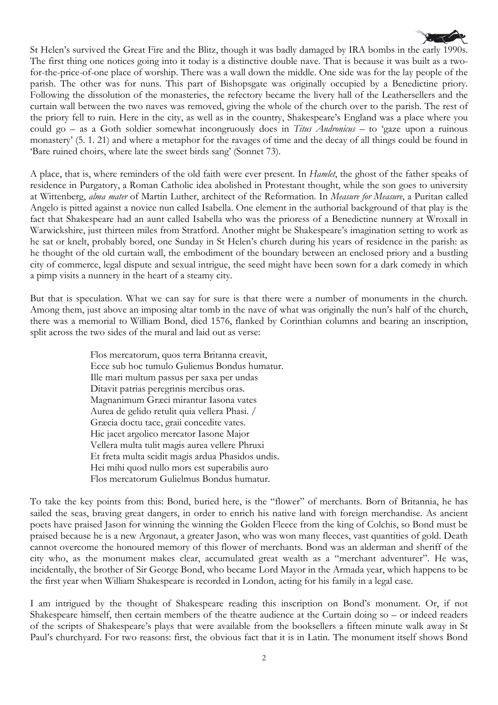

St Helen's survived the Great Fire and the Blitz, though it was badly damaged by IRA bombs in the early 1990s. The first thing one notices going into it today is a distinctive double nave. That is because it was built as a twofor-the-price-of-one place of worship. There was a wall down the middle. One side was for the lay people of the parish. The other was for nuns. This part of Bishopsgate was originally occupied by a Benedictine priory. Following the dissolution of the monasteries, the refectory became the livery hall of the Leathersellers and the curtain wall between the two naves was removed, giving the whole of the church over to the parish. The rest of the priory fell to ruin. Here in the city, as well as in the country, Shakespeare's England was a place where you could go – as a Goth soldier somewhat incongruously does in *Titus Andronicus* – to 'gaze upon a ruinous monastery' (5. 1. 21) and where a metaphor for the ravages of time and the decay of all things could be found in 'Bare ruined choirs, where late the sweet birds sang' (Sonnet 73).

A place, that is, where reminders of the old faith were ever present. In *Hamlet*, the ghost of the father speaks of residence in Purgatory, a Roman Catholic idea abolished in Protestant thought, while the son goes to university at Wittenberg, *alma mater* of Martin Luther, architect of the Reformation. In *Measure for Measure*, a Puritan called Angelo is pitted against a novice nun called Isabella. One element in the authorial background of that play is the fact that Shakespeare had an aunt called Isabella who was the prioress of a Benedictine nunnery at Wroxall in Warwickshire, just thirteen miles from Stratford. Another might be Shakespeare's imagination setting to work as he sat or knelt, probably bored, one Sunday in St Helen's church during his years of residence in the parish: as he thought of the old curtain wall, the embodiment of the boundary between an enclosed priory and a bustling city of commerce, legal dispute and sexual intrigue, the seed might have been sown for a dark comedy in which a pimp visits a nunnery in the heart of a steamy city.

But that is speculation. What we can say for sure is that there were a number of monuments in the church. Among them, just above an imposing altar tomb in the nave of what was originally the nun's half of the church, there was a memorial to William Bond, died 1576, flanked by Corinthian columns and bearing an inscription, split across the two sides of the mural and laid out as verse:

> Flos mercatorum, quos terra Britanna creavit, Ecce sub hoc tumulo Guliemus Bondus humatur. Ille mari multum passus per saxa per undas Ditavit patrias peregrinis mercibus oras. Magnanimum Græci mirantur Iasona vates Aurea de gelido retulit quia vellera Phasi. / Græcia doctu tace, graii concedite vates. Hic jacet argolico mercator Iasone Major Vellera multa tulit magis aurea vellere Phruxi Et freta multa scidit magis ardua Phasidos undis. Hei mihi quod nullo mors est superabilis auro Flos mercatorum Gulielmus Bondus humatur.

To take the key points from this: Bond, buried here, is the "flower" of merchants. Born of Britannia, he has sailed the seas, braving great dangers, in order to enrich his native land with foreign merchandise. As ancient poets have praised Jason for winning the winning the Golden Fleece from the king of Colchis, so Bond must be praised because he is a new Argonaut, a greater Jason, who was won many fleeces, vast quantities of gold. Death cannot overcome the honoured memory of this flower of merchants. Bond was an alderman and sheriff of the city who, as the monument makes clear, accumulated great wealth as a "merchant adventurer". He was, incidentally, the brother of Sir George Bond, who became Lord Mayor in the Armada year, which happens to be the first year when William Shakespeare is recorded in London, acting for his family in a legal case.

I am intrigued by the thought of Shakespeare reading this inscription on Bond's monument. Or, if not Shakespeare himself, then certain members of the theatre audience at the Curtain doing so – or indeed readers of the scripts of Shakespeare's plays that were available from the booksellers a fifteen minute walk away in St Paul's churchyard. For two reasons: first, the obvious fact that it is in Latin. The monument itself shows Bond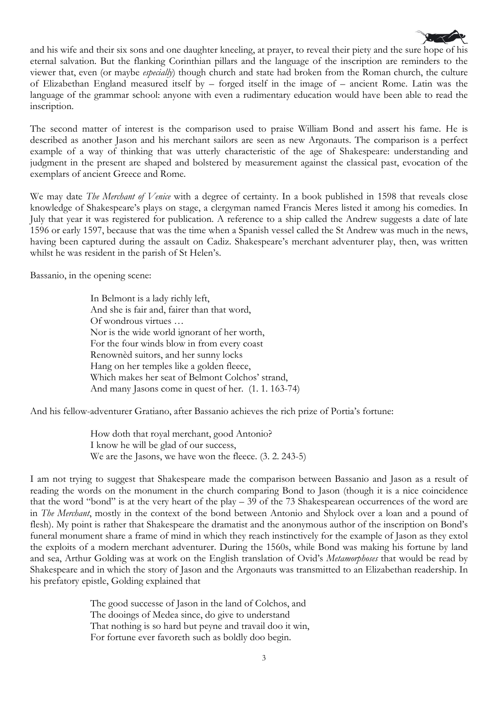

and his wife and their six sons and one daughter kneeling, at prayer, to reveal their piety and the sure hope of his eternal salvation. But the flanking Corinthian pillars and the language of the inscription are reminders to the viewer that, even (or maybe *especially*) though church and state had broken from the Roman church, the culture of Elizabethan England measured itself by – forged itself in the image of – ancient Rome. Latin was the language of the grammar school: anyone with even a rudimentary education would have been able to read the inscription.

The second matter of interest is the comparison used to praise William Bond and assert his fame. He is described as another Jason and his merchant sailors are seen as new Argonauts. The comparison is a perfect example of a way of thinking that was utterly characteristic of the age of Shakespeare: understanding and judgment in the present are shaped and bolstered by measurement against the classical past, evocation of the exemplars of ancient Greece and Rome.

We may date *The Merchant of Venice* with a degree of certainty. In a book published in 1598 that reveals close knowledge of Shakespeare's plays on stage, a clergyman named Francis Meres listed it among his comedies. In July that year it was registered for publication. A reference to a ship called the Andrew suggests a date of late 1596 or early 1597, because that was the time when a Spanish vessel called the St Andrew was much in the news, having been captured during the assault on Cadiz. Shakespeare's merchant adventurer play, then, was written whilst he was resident in the parish of St Helen's.

Bassanio, in the opening scene:

In Belmont is a lady richly left, And she is fair and, fairer than that word, Of wondrous virtues … Nor is the wide world ignorant of her worth, For the four winds blow in from every coast Renownèd suitors, and her sunny locks Hang on her temples like a golden fleece, Which makes her seat of Belmont Colchos' strand, And many Jasons come in quest of her. (1. 1. 163-74)

And his fellow-adventurer Gratiano, after Bassanio achieves the rich prize of Portia's fortune:

How doth that royal merchant, good Antonio? I know he will be glad of our success, We are the Jasons, we have won the fleece.  $(3. 2. 243-5)$ 

I am not trying to suggest that Shakespeare made the comparison between Bassanio and Jason as a result of reading the words on the monument in the church comparing Bond to Jason (though it is a nice coincidence that the word "bond" is at the very heart of the play – 39 of the 73 Shakespearean occurrences of the word are in *The Merchant*, mostly in the context of the bond between Antonio and Shylock over a loan and a pound of flesh). My point is rather that Shakespeare the dramatist and the anonymous author of the inscription on Bond's funeral monument share a frame of mind in which they reach instinctively for the example of Jason as they extol the exploits of a modern merchant adventurer. During the 1560s, while Bond was making his fortune by land and sea, Arthur Golding was at work on the English translation of Ovid's *Metamorphoses* that would be read by Shakespeare and in which the story of Jason and the Argonauts was transmitted to an Elizabethan readership. In his prefatory epistle, Golding explained that

> The good successe of Jason in the land of Colchos, and The dooings of Medea since, do give to understand That nothing is so hard but peyne and travail doo it win, For fortune ever favoreth such as boldly doo begin.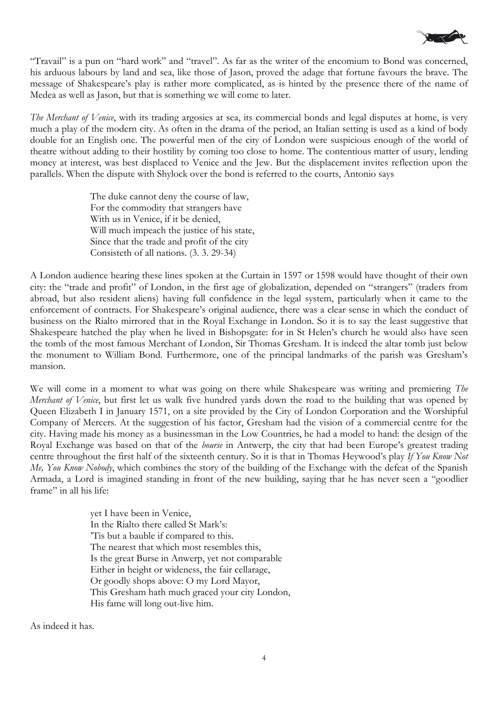

"Travail" is a pun on "hard work" and "travel". As far as the writer of the encomium to Bond was concerned, his arduous labours by land and sea, like those of Jason, proved the adage that fortune favours the brave. The message of Shakespeare's play is rather more complicated, as is hinted by the presence there of the name of Medea as well as Jason, but that is something we will come to later.

*The Merchant of Venice*, with its trading argosies at sea, its commercial bonds and legal disputes at home, is very much a play of the modern city. As often in the drama of the period, an Italian setting is used as a kind of body double for an English one. The powerful men of the city of London were suspicious enough of the world of theatre without adding to their hostility by coming too close to home. The contentious matter of usury, lending money at interest, was best displaced to Venice and the Jew. But the displacement invites reflection upon the parallels. When the dispute with Shylock over the bond is referred to the courts, Antonio says

> The duke cannot deny the course of law, For the commodity that strangers have With us in Venice, if it be denied, Will much impeach the justice of his state, Since that the trade and profit of the city Consisteth of all nations. (3. 3. 29-34)

A London audience hearing these lines spoken at the Curtain in 1597 or 1598 would have thought of their own city: the "trade and profit" of London, in the first age of globalization, depended on "strangers" (traders from abroad, but also resident aliens) having full confidence in the legal system, particularly when it came to the enforcement of contracts. For Shakespeare's original audience, there was a clear sense in which the conduct of business on the Rialto mirrored that in the Royal Exchange in London. So it is to say the least suggestive that Shakespeare hatched the play when he lived in Bishopsgate: for in St Helen's church he would also have seen the tomb of the most famous Merchant of London, Sir Thomas Gresham. It is indeed the altar tomb just below the monument to William Bond. Furthermore, one of the principal landmarks of the parish was Gresham's mansion.

We will come in a moment to what was going on there while Shakespeare was writing and premiering *The Merchant of Venice*, but first let us walk five hundred yards down the road to the building that was opened by Queen Elizabeth I in January 1571, on a site provided by the City of London Corporation and the Worshipful Company of Mercers. At the suggestion of his factor, Gresham had the vision of a commercial centre for the city. Having made his money as a businessman in the Low Countries, he had a model to hand: the design of the Royal Exchange was based on that of the *bourse* in Antwerp, the city that had been Europe's greatest trading centre throughout the first half of the sixteenth century. So it is that in Thomas Heywood's play *If You Know Not Me, You Know Nobody*, which combines the story of the building of the Exchange with the defeat of the Spanish Armada, a Lord is imagined standing in front of the new building, saying that he has never seen a "goodlier frame" in all his life:

> yet I have been in Venice, In the Rialto there called St Mark's: 'Tis but a bauble if compared to this. The nearest that which most resembles this, Is the great Burse in Anwerp, yet not comparable Either in height or wideness, the fair cellarage, Or goodly shops above: O my Lord Mayor, This Gresham hath much graced your city London, His fame will long out-live him.

As indeed it has.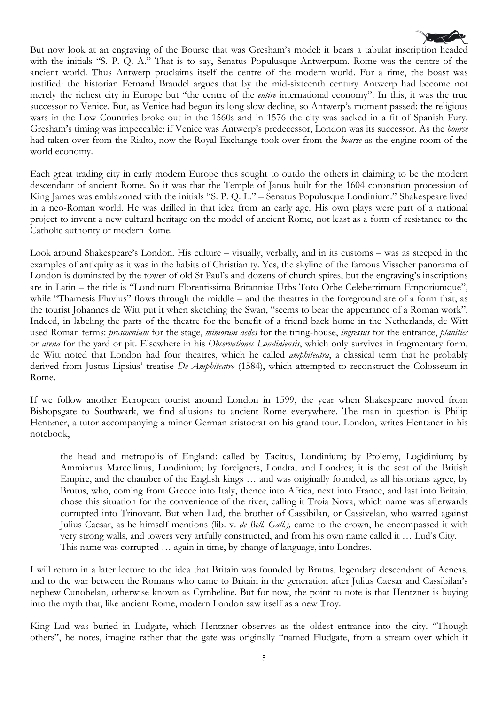

But now look at an engraving of the Bourse that was Gresham's model: it bears a tabular inscription headed with the initials "S. P. Q. A." That is to say, Senatus Populusque Antwerpum. Rome was the centre of the ancient world. Thus Antwerp proclaims itself the centre of the modern world. For a time, the boast was justified: the historian Fernand Braudel argues that by the mid-sixteenth century Antwerp had become not merely the richest city in Europe but "the centre of the *entire* international economy". In this, it was the true successor to Venice. But, as Venice had begun its long slow decline, so Antwerp's moment passed: the religious wars in the Low Countries broke out in the 1560s and in 1576 the city was sacked in a fit of Spanish Fury. Gresham's timing was impeccable: if Venice was Antwerp's predecessor, London was its successor. As the *bourse*  had taken over from the Rialto, now the Royal Exchange took over from the *bourse* as the engine room of the world economy.

Each great trading city in early modern Europe thus sought to outdo the others in claiming to be the modern descendant of ancient Rome. So it was that the Temple of Janus built for the 1604 coronation procession of King James was emblazoned with the initials "S. P. Q. L." – Senatus Populusque Londinium." Shakespeare lived in a neo-Roman world. He was drilled in that idea from an early age. His own plays were part of a national project to invent a new cultural heritage on the model of ancient Rome, not least as a form of resistance to the Catholic authority of modern Rome.

Look around Shakespeare's London. His culture – visually, verbally, and in its customs – was as steeped in the examples of antiquity as it was in the habits of Christianity. Yes, the skyline of the famous Visscher panorama of London is dominated by the tower of old St Paul's and dozens of church spires, but the engraving's inscriptions are in Latin – the title is "Londinum Florentissima Britanniae Urbs Toto Orbe Celeberrimum Emporiumque", while "Thamesis Fluvius" flows through the middle – and the theatres in the foreground are of a form that, as the tourist Johannes de Witt put it when sketching the Swan, "seems to bear the appearance of a Roman work". Indeed, in labeling the parts of the theatre for the benefit of a friend back home in the Netherlands, de Witt used Roman terms: *proscoenium* for the stage, *mimorum aedes* for the tiring-house, *ingressus* for the entrance, *planities*  or *arena* for the yard or pit. Elsewhere in his *Observationes Londiniensis*, which only survives in fragmentary form, de Witt noted that London had four theatres, which he called *amphiteatra*, a classical term that he probably derived from Justus Lipsius' treatise *De Amphiteatro* (1584), which attempted to reconstruct the Colosseum in Rome.

If we follow another European tourist around London in 1599, the year when Shakespeare moved from Bishopsgate to Southwark, we find allusions to ancient Rome everywhere. The man in question is Philip Hentzner, a tutor accompanying a minor German aristocrat on his grand tour. London, writes Hentzner in his notebook,

the head and metropolis of England: called by Tacitus, Londinium; by Ptolemy, Logidinium; by Ammianus Marcellinus, Lundinium; by foreigners, Londra, and Londres; it is the seat of the British Empire, and the chamber of the English kings … and was originally founded, as all historians agree, by Brutus, who, coming from Greece into Italy, thence into Africa, next into France, and last into Britain, chose this situation for the convenience of the river, calling it Troia Nova, which name was afterwards corrupted into Trinovant. But when Lud, the brother of Cassibilan, or Cassivelan, who warred against Julius Caesar, as he himself mentions (lib. v. *de Bell. Gall.),* came to the crown, he encompassed it with very strong walls, and towers very artfully constructed, and from his own name called it … Lud's City. This name was corrupted … again in time, by change of language, into Londres.

I will return in a later lecture to the idea that Britain was founded by Brutus, legendary descendant of Aeneas, and to the war between the Romans who came to Britain in the generation after Julius Caesar and Cassibilan's nephew Cunobelan, otherwise known as Cymbeline. But for now, the point to note is that Hentzner is buying into the myth that, like ancient Rome, modern London saw itself as a new Troy.

King Lud was buried in Ludgate, which Hentzner observes as the oldest entrance into the city. "Though others", he notes, imagine rather that the gate was originally "named Fludgate, from a stream over which it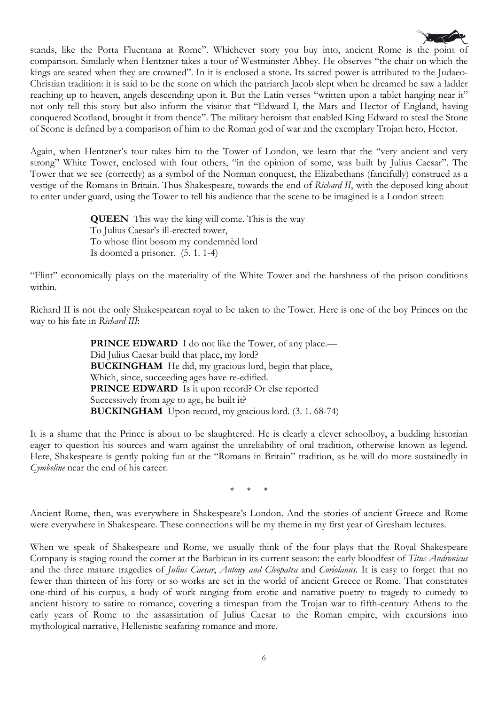

Again, when Hentzner's tour takes him to the Tower of London, we learn that the "very ancient and very strong" White Tower, enclosed with four others, "in the opinion of some, was built by Julius Caesar". The Tower that we see (correctly) as a symbol of the Norman conquest, the Elizabethans (fancifully) construed as a vestige of the Romans in Britain. Thus Shakespeare, towards the end of *Richard II*, with the deposed king about to enter under guard, using the Tower to tell his audience that the scene to be imagined is a London street:

> **QUEEN** This way the king will come. This is the way To Julius Caesar's ill-erected tower, To whose flint bosom my condemnèd lord Is doomed a prisoner. (5. 1. 1-4)

"Flint" economically plays on the materiality of the White Tower and the harshness of the prison conditions within.

Richard II is not the only Shakespearean royal to be taken to the Tower. Here is one of the boy Princes on the way to his fate in *Richard III*:

> **PRINCE EDWARD** I do not like the Tower, of any place.— Did Julius Caesar build that place, my lord? **BUCKINGHAM** He did, my gracious lord, begin that place, Which, since, succeeding ages have re-edified. **PRINCE EDWARD** Is it upon record? Or else reported Successively from age to age, he built it? **BUCKINGHAM** Upon record, my gracious lord. (3. 1. 68-74)

It is a shame that the Prince is about to be slaughtered. He is clearly a clever schoolboy, a budding historian eager to question his sources and warn against the unreliability of oral tradition, otherwise known as legend. Here, Shakespeare is gently poking fun at the "Romans in Britain" tradition, as he will do more sustainedly in *Cymbeline* near the end of his career.

\* \* \*

Ancient Rome, then, was everywhere in Shakespeare's London. And the stories of ancient Greece and Rome were everywhere in Shakespeare. These connections will be my theme in my first year of Gresham lectures.

When we speak of Shakespeare and Rome, we usually think of the four plays that the Royal Shakespeare Company is staging round the corner at the Barbican in its current season: the early bloodfest of *Titus Andronicus* and the three mature tragedies of *Julius Caesar*, *Antony and Cleopatra* and *Coriolanus*. It is easy to forget that no fewer than thirteen of his forty or so works are set in the world of ancient Greece or Rome. That constitutes one-third of his corpus, a body of work ranging from erotic and narrative poetry to tragedy to comedy to ancient history to satire to romance, covering a timespan from the Trojan war to fifth-century Athens to the early years of Rome to the assassination of Julius Caesar to the Roman empire, with excursions into mythological narrative, Hellenistic seafaring romance and more.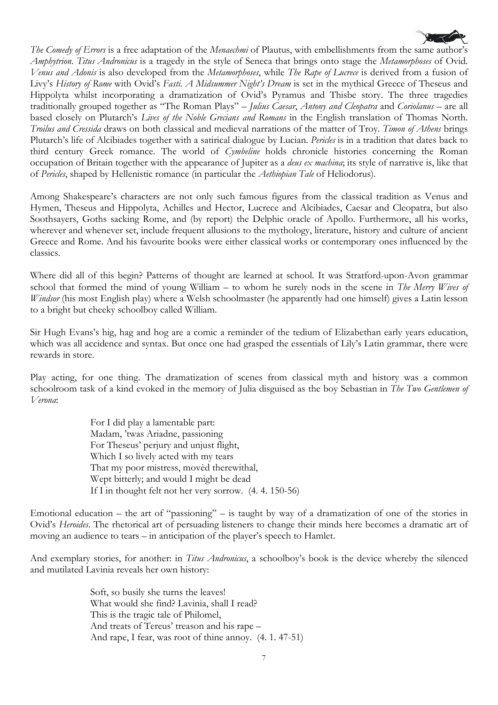

*The Comedy of Errors* is a free adaptation of the *Menaechmi* of Plautus, with embellishments from the same author's *Amphytrion*. *Titus Andronicus* is a tragedy in the style of Seneca that brings onto stage the *Metamorphoses* of Ovid. *Venus and Adonis* is also developed from the *Metamorphoses*, while *The Rape of Lucrece* is derived from a fusion of Livy's *History of Rome* with Ovid's *Fasti*. *A Midsummer Night's Dream* is set in the mythical Greece of Theseus and Hippolyta whilst incorporating a dramatization of Ovid's Pyramus and Thisbe story. The three tragedies traditionally grouped together as "The Roman Plays" – *Julius Caesar*, *Antony and Cleopatra* and *Coriolanus* – are all based closely on Plutarch's *Lives of the Noble Grecians and Romans* in the English translation of Thomas North. *Troilus and Cressida* draws on both classical and medieval narrations of the matter of Troy. *Timon of Athens* brings Plutarch's life of Alcibiades together with a satirical dialogue by Lucian. *Pericles* is in a tradition that dates back to third century Greek romance. The world of *Cymbeline* holds chronicle histories concerning the Roman occupation of Britain together with the appearance of Jupiter as a *deus ex machina*; its style of narrative is, like that of *Pericles*, shaped by Hellenistic romance (in particular the *Aethiopian Tale* of Heliodorus).

Among Shakespeare's characters are not only such famous figures from the classical tradition as Venus and Hymen, Theseus and Hippolyta, Achilles and Hector, Lucrece and Alcibiades, Caesar and Cleopatra, but also Soothsayers, Goths sacking Rome, and (by report) the Delphic oracle of Apollo. Furthermore, all his works, wherever and whenever set, include frequent allusions to the mythology, literature, history and culture of ancient Greece and Rome. And his favourite books were either classical works or contemporary ones influenced by the classics.

Where did all of this begin? Patterns of thought are learned at school. It was Stratford-upon-Avon grammar school that formed the mind of young William – to whom he surely nods in the scene in *The Merry Wives of Windsor* (his most English play) where a Welsh schoolmaster (he apparently had one himself) gives a Latin lesson to a bright but cheeky schoolboy called William.

Sir Hugh Evans's hig, hag and hog are a comic a reminder of the tedium of Elizabethan early years education, which was all accidence and syntax. But once one had grasped the essentials of Lily's Latin grammar, there were rewards in store.

Play acting, for one thing. The dramatization of scenes from classical myth and history was a common schoolroom task of a kind evoked in the memory of Julia disguised as the boy Sebastian in *The Two Gentlemen of Verona*:

> For I did play a lamentable part: Madam, 'twas Ariadne, passioning For Theseus' perjury and unjust flight, Which I so lively acted with my tears That my poor mistress, movèd therewithal, Wept bitterly; and would I might be dead If I in thought felt not her very sorrow. (4. 4. 150-56)

Emotional education – the art of "passioning" – is taught by way of a dramatization of one of the stories in Ovid's *Heroides*. The rhetorical art of persuading listeners to change their minds here becomes a dramatic art of moving an audience to tears – in anticipation of the player's speech to Hamlet.

And exemplary stories, for another: in *Titus Andronicus*, a schoolboy's book is the device whereby the silenced and mutilated Lavinia reveals her own history:

> Soft, so busily she turns the leaves! What would she find? Lavinia, shall I read? This is the tragic tale of Philomel, And treats of Tereus' treason and his rape – And rape, I fear, was root of thine annoy. (4. 1. 47-51)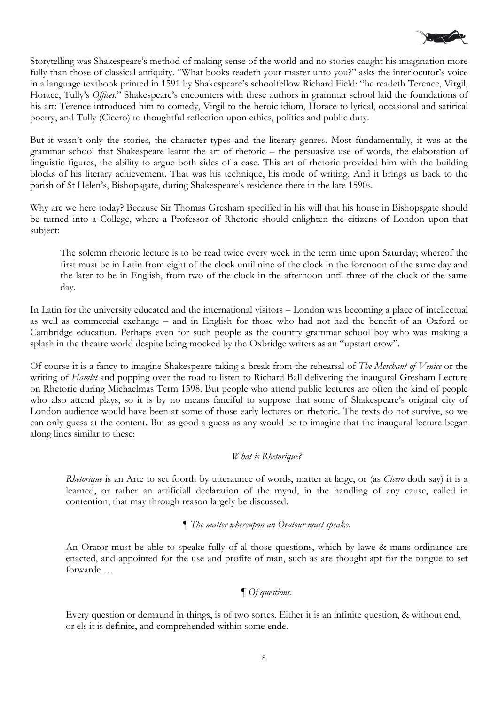

Storytelling was Shakespeare's method of making sense of the world and no stories caught his imagination more fully than those of classical antiquity. "What books readeth your master unto you?" asks the interlocutor's voice in a language textbook printed in 1591 by Shakespeare's schoolfellow Richard Field: "he readeth Terence, Virgil, Horace, Tully's *Offices*." Shakespeare's encounters with these authors in grammar school laid the foundations of his art: Terence introduced him to comedy, Virgil to the heroic idiom, Horace to lyrical, occasional and satirical poetry, and Tully (Cicero) to thoughtful reflection upon ethics, politics and public duty.

But it wasn't only the stories, the character types and the literary genres. Most fundamentally, it was at the grammar school that Shakespeare learnt the art of rhetoric – the persuasive use of words, the elaboration of linguistic figures, the ability to argue both sides of a case. This art of rhetoric provided him with the building blocks of his literary achievement. That was his technique, his mode of writing. And it brings us back to the parish of St Helen's, Bishopsgate, during Shakespeare's residence there in the late 1590s.

Why are we here today? Because Sir Thomas Gresham specified in his will that his house in Bishopsgate should be turned into a College, where a Professor of Rhetoric should enlighten the citizens of London upon that subject:

The solemn rhetoric lecture is to be read twice every week in the term time upon Saturday; whereof the first must be in Latin from eight of the clock until nine of the clock in the forenoon of the same day and the later to be in English, from two of the clock in the afternoon until three of the clock of the same day.

In Latin for the university educated and the international visitors – London was becoming a place of intellectual as well as commercial exchange – and in English for those who had not had the benefit of an Oxford or Cambridge education. Perhaps even for such people as the country grammar school boy who was making a splash in the theatre world despite being mocked by the Oxbridge writers as an "upstart crow".

Of course it is a fancy to imagine Shakespeare taking a break from the rehearsal of *The Merchant of Venice* or the writing of *Hamlet* and popping over the road to listen to Richard Ball delivering the inaugural Gresham Lecture on Rhetoric during Michaelmas Term 1598. But people who attend public lectures are often the kind of people who also attend plays, so it is by no means fanciful to suppose that some of Shakespeare's original city of London audience would have been at some of those early lectures on rhetoric. The texts do not survive, so we can only guess at the content. But as good a guess as any would be to imagine that the inaugural lecture began along lines similar to these:

#### *What is Rhetorique?*

*Rhetorique* is an Arte to set foorth by utteraunce of words, matter at large, or (as *Cicero* doth say) it is a learned, or rather an artificiall declaration of the mynd, in the handling of any cause, called in contention, that may through reason largely be discussed.

#### ¶ *The matter whereupon an Oratour must speake.*

An Orator must be able to speake fully of al those questions, which by lawe & mans ordinance are enacted, and appointed for the use and profite of man, such as are thought apt for the tongue to set forwarde …

### ¶ *Of questions.*

Every question or demaund in things, is of two sortes. Either it is an infinite question, & without end, or els it is definite, and comprehended within some ende.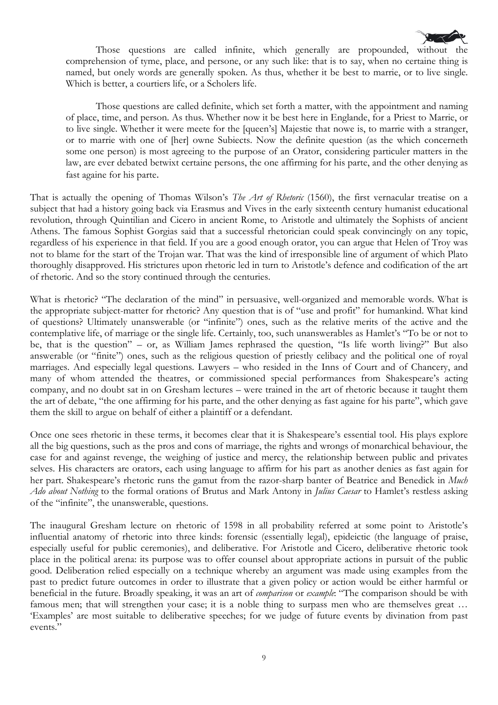

Those questions are called infinite, which generally are propounded, without the comprehension of tyme, place, and persone, or any such like: that is to say, when no certaine thing is named, but onely words are generally spoken. As thus, whether it be best to marrie, or to live single. Which is better, a courtiers life, or a Scholers life.

Those questions are called definite, which set forth a matter, with the appointment and naming of place, time, and person. As thus. Whether now it be best here in Englande, for a Priest to Marrie, or to live single. Whether it were meete for the [queen's] Majestie that nowe is, to marrie with a stranger, or to marrie with one of [her] owne Subiects. Now the definite question (as the which concerneth some one person) is most agreeing to the purpose of an Orator, considering particuler matters in the law, are ever debated betwixt certaine persons, the one affirming for his parte, and the other denying as fast againe for his parte.

That is actually the opening of Thomas Wilson's *The Art of Rhetoric* (1560), the first vernacular treatise on a subject that had a history going back via Erasmus and Vives in the early sixteenth century humanist educational revolution, through Quintilian and Cicero in ancient Rome, to Aristotle and ultimately the Sophists of ancient Athens. The famous Sophist Gorgias said that a successful rhetorician could speak convincingly on any topic, regardless of his experience in that field. If you are a good enough orator, you can argue that Helen of Troy was not to blame for the start of the Trojan war. That was the kind of irresponsible line of argument of which Plato thoroughly disapproved. His strictures upon rhetoric led in turn to Aristotle's defence and codification of the art of rhetoric. And so the story continued through the centuries.

What is rhetoric? "The declaration of the mind" in persuasive, well-organized and memorable words. What is the appropriate subject-matter for rhetoric? Any question that is of "use and profit" for humankind. What kind of questions? Ultimately unanswerable (or "infinite") ones, such as the relative merits of the active and the contemplative life, of marriage or the single life. Certainly, too, such unanswerables as Hamlet's "To be or not to be, that is the question" – or, as William James rephrased the question, "Is life worth living?" But also answerable (or "finite") ones, such as the religious question of priestly celibacy and the political one of royal marriages. And especially legal questions. Lawyers – who resided in the Inns of Court and of Chancery, and many of whom attended the theatres, or commissioned special performances from Shakespeare's acting company, and no doubt sat in on Gresham lectures – were trained in the art of rhetoric because it taught them the art of debate, "the one affirming for his parte, and the other denying as fast againe for his parte", which gave them the skill to argue on behalf of either a plaintiff or a defendant.

Once one sees rhetoric in these terms, it becomes clear that it is Shakespeare's essential tool. His plays explore all the big questions, such as the pros and cons of marriage, the rights and wrongs of monarchical behaviour, the case for and against revenge, the weighing of justice and mercy, the relationship between public and privates selves. His characters are orators, each using language to affirm for his part as another denies as fast again for her part. Shakespeare's rhetoric runs the gamut from the razor-sharp banter of Beatrice and Benedick in *Much Ado about Nothing* to the formal orations of Brutus and Mark Antony in *Julius Caesar* to Hamlet's restless asking of the "infinite", the unanswerable, questions.

The inaugural Gresham lecture on rhetoric of 1598 in all probability referred at some point to Aristotle's influential anatomy of rhetoric into three kinds: forensic (essentially legal), epideictic (the language of praise, especially useful for public ceremonies), and deliberative. For Aristotle and Cicero, deliberative rhetoric took place in the political arena: its purpose was to offer counsel about appropriate actions in pursuit of the public good. Deliberation relied especially on a technique whereby an argument was made using examples from the past to predict future outcomes in order to illustrate that a given policy or action would be either harmful or beneficial in the future. Broadly speaking, it was an art of *comparison* or *example*: "The comparison should be with famous men; that will strengthen your case; it is a noble thing to surpass men who are themselves great … 'Examples' are most suitable to deliberative speeches; for we judge of future events by divination from past events."